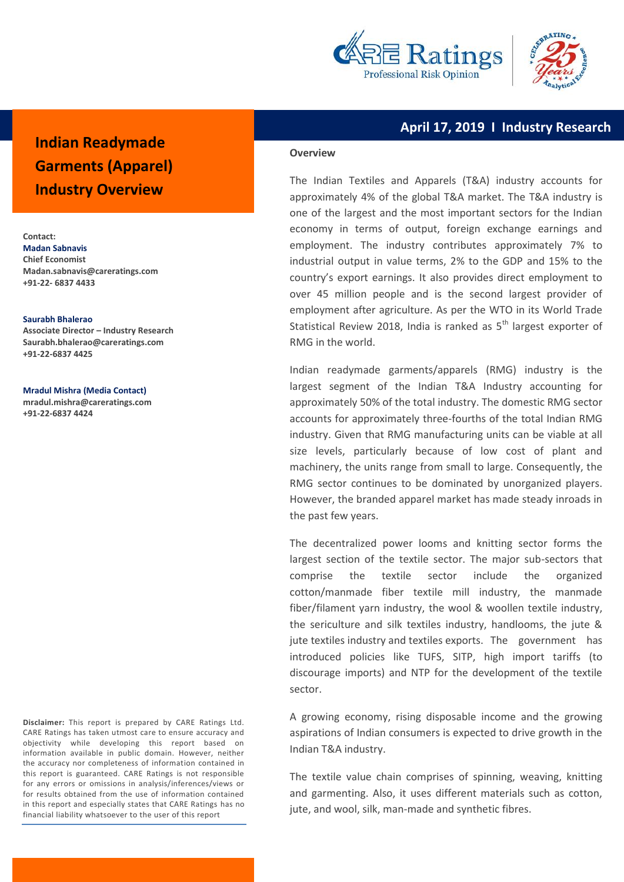



# **April 17, 2019 I Industry Research**

# **Indian Readymade Garments (Apparel) Industry Overview**

**Contact: Madan Sabnavis Chief Economist Madan.sabnavis@careratings.com +91-22- 6837 4433**

#### **Saurabh Bhalerao**

**Associate Director – Industry Research Saurabh.bhalera[o@careratings.com](mailto:anushka.sawarkar@careratings.com) +91-22-6837 4425**

**Mradul Mishra (Media Contact)**

**[mradul.mishra@careratings.com](mailto:mradul.mishra@careratings.com) +91-22-6837 4424**

**Disclaimer:** This report is prepared by CARE Ratings Ltd. CARE Ratings has taken utmost care to ensure accuracy and objectivity while developing this report based on information available in public domain. However, neither the accuracy nor completeness of information contained in this report is guaranteed. CARE Ratings is not responsible for any errors or omissions in analysis/inferences/views or for results obtained from the use of information contained in this report and especially states that CARE Ratings has no financial liability whatsoever to the user of this report

#### **Overview**

The Indian Textiles and Apparels (T&A) industry accounts for approximately 4% of the global T&A market. The T&A industry is one of the largest and the most important sectors for the Indian economy in terms of output, foreign exchange earnings and employment. The industry contributes approximately 7% to industrial output in value terms, 2% to the GDP and 15% to the country's export earnings. It also provides direct employment to over 45 million people and is the second largest provider of employment after agriculture. As per the WTO in its World Trade Statistical Review 2018, India is ranked as  $5<sup>th</sup>$  largest exporter of RMG in the world.

Indian readymade garments/apparels (RMG) industry is the largest segment of the Indian T&A Industry accounting for approximately 50% of the total industry. The domestic RMG sector accounts for approximately three-fourths of the total Indian RMG industry. Given that RMG manufacturing units can be viable at all size levels, particularly because of low cost of plant and machinery, the units range from small to large. Consequently, the RMG sector continues to be dominated by unorganized players. However, the branded apparel market has made steady inroads in the past few years.

The decentralized power looms and knitting sector forms the largest section of the textile sector. The major sub-sectors that comprise the textile sector include the organized cotton/manmade fiber textile mill industry, the manmade fiber/filament yarn industry, the wool & woollen textile industry, the sericulture and silk textiles industry, handlooms, the jute & jute textiles industry and textiles exports. The government has introduced policies like TUFS, SITP, high import tariffs (to discourage imports) and NTP for the development of the textile sector.

A growing economy, rising disposable income and the growing aspirations of Indian consumers is expected to drive growth in the Indian T&A industry.

The textile value chain comprises of spinning, weaving, knitting and garmenting. Also, it uses different materials such as cotton, jute, and wool, silk, man-made and synthetic fibres.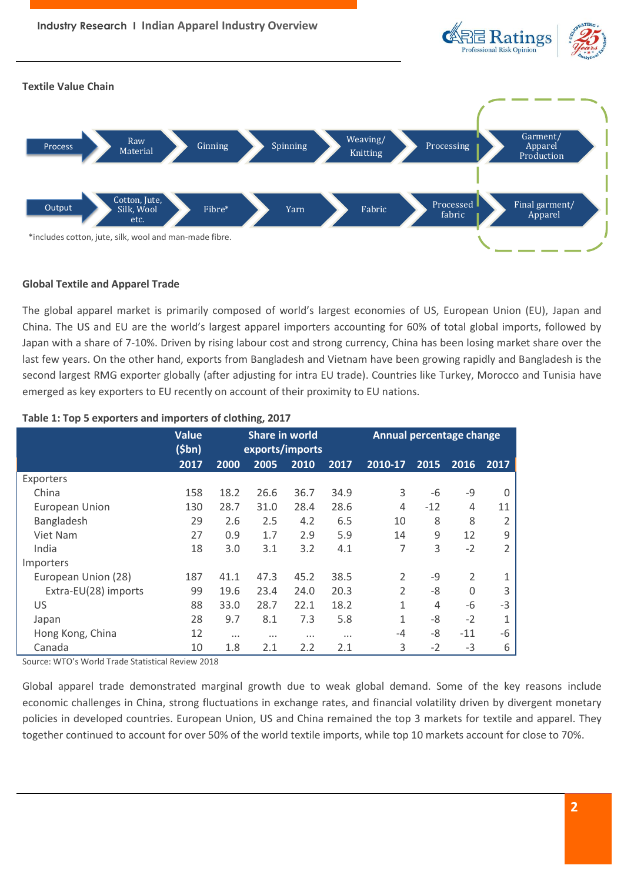

# **Global Textile and Apparel Trade**

The global apparel market is primarily composed of world's largest economies of US, European Union (EU), Japan and China. The US and EU are the world's largest apparel importers accounting for 60% of total global imports, followed by Japan with a share of 7-10%. Driven by rising labour cost and strong currency, China has been losing market share over the last few years. On the other hand, exports from Bangladesh and Vietnam have been growing rapidly and Bangladesh is the second largest RMG exporter globally (after adjusting for intra EU trade). Countries like Turkey, Morocco and Tunisia have emerged as key exporters to EU recently on account of their proximity to EU nations.

|                       | <b>Value</b><br>(5bn) | <b>Share in world</b><br>exports/imports |          |          | <b>Annual percentage change</b> |                |       |                |                |
|-----------------------|-----------------------|------------------------------------------|----------|----------|---------------------------------|----------------|-------|----------------|----------------|
|                       | 2017                  | 2000                                     | 2005     | 2010     | 2017                            | 2010-17        | 2015  | 2016           | 2017           |
| Exporters             |                       |                                          |          |          |                                 |                |       |                |                |
| China                 | 158                   | 18.2                                     | 26.6     | 36.7     | 34.9                            | 3              | -6    | $-9$           | $\Omega$       |
| <b>European Union</b> | 130                   | 28.7                                     | 31.0     | 28.4     | 28.6                            | 4              | $-12$ | 4              | 11             |
| Bangladesh            | 29                    | 2.6                                      | 2.5      | 4.2      | 6.5                             | 10             | 8     | 8              | $\overline{2}$ |
| Viet Nam              | 27                    | 0.9                                      | 1.7      | 2.9      | 5.9                             | 14             | 9     | 12             | 9              |
| India                 | 18                    | 3.0                                      | 3.1      | 3.2      | 4.1                             | 7              | 3     | $-2$           | $\overline{2}$ |
| Importers             |                       |                                          |          |          |                                 |                |       |                |                |
| European Union (28)   | 187                   | 41.1                                     | 47.3     | 45.2     | 38.5                            | $\overline{2}$ | $-9$  | $\overline{2}$ | 1              |
| Extra-EU(28) imports  | 99                    | 19.6                                     | 23.4     | 24.0     | 20.3                            | $\overline{2}$ | -8    | $\Omega$       | 3              |
| US                    | 88                    | 33.0                                     | 28.7     | 22.1     | 18.2                            | $\mathbf{1}$   | 4     | -6             | $-3$           |
| Japan                 | 28                    | 9.7                                      | 8.1      | 7.3      | 5.8                             | $\mathbf{1}$   | -8    | $-2$           | 1              |
| Hong Kong, China      | 12                    | $\cdots$                                 | $\cdots$ | $\cdots$ | $\cdots$                        | $-4$           | -8    | $-11$          | $-6$           |
| Canada                | 10                    | 1.8                                      | 2.1      | 2.2      | 2.1                             | 3              | $-2$  | $-3$           | 6              |

### **Table 1: Top 5 exporters and importers of clothing, 2017**

Source: WTO's World Trade Statistical Review 2018

Global apparel trade demonstrated marginal growth due to weak global demand. Some of the key reasons include economic challenges in China, strong fluctuations in exchange rates, and financial volatility driven by divergent monetary policies in developed countries. European Union, US and China remained the top 3 markets for textile and apparel. They together continued to account for over 50% of the world textile imports, while top 10 markets account for close to 70%.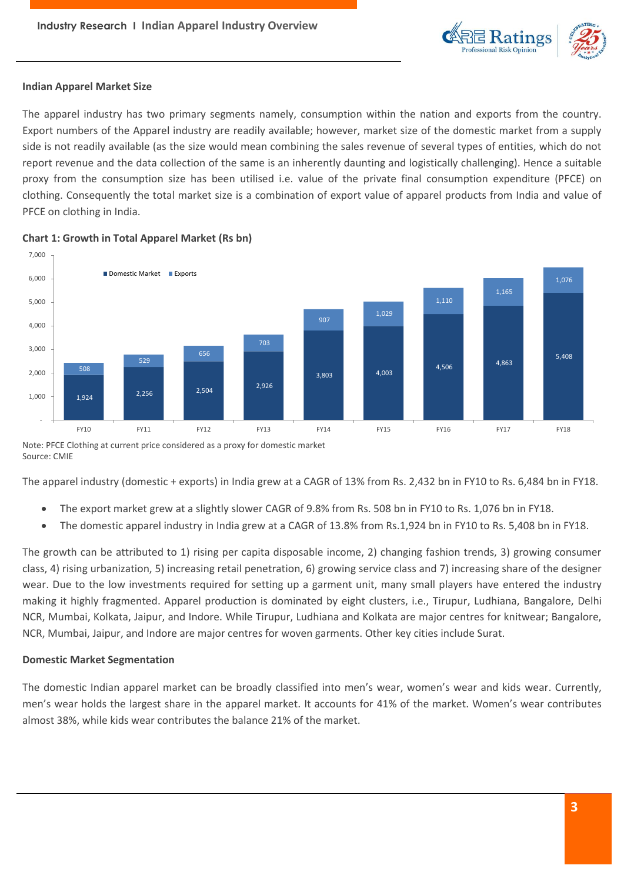

# **Indian Apparel Market Size**

The apparel industry has two primary segments namely, consumption within the nation and exports from the country. Export numbers of the Apparel industry are readily available; however, market size of the domestic market from a supply side is not readily available (as the size would mean combining the sales revenue of several types of entities, which do not report revenue and the data collection of the same is an inherently daunting and logistically challenging). Hence a suitable proxy from the consumption size has been utilised i.e. value of the private final consumption expenditure (PFCE) on clothing. Consequently the total market size is a combination of export value of apparel products from India and value of PFCE on clothing in India.



## **Chart 1: Growth in Total Apparel Market (Rs bn)**

Note: PFCE Clothing at current price considered as a proxy for domestic market Source: CMIE

The apparel industry (domestic + exports) in India grew at a CAGR of 13% from Rs. 2,432 bn in FY10 to Rs. 6,484 bn in FY18.

- The export market grew at a slightly slower CAGR of 9.8% from Rs. 508 bn in FY10 to Rs. 1,076 bn in FY18.
- The domestic apparel industry in India grew at a CAGR of 13.8% from Rs.1,924 bn in FY10 to Rs. 5,408 bn in FY18.

The growth can be attributed to 1) rising per capita disposable income, 2) changing fashion trends, 3) growing consumer class, 4) rising urbanization, 5) increasing retail penetration, 6) growing service class and 7) increasing share of the designer wear. Due to the low investments required for setting up a garment unit, many small players have entered the industry making it highly fragmented. Apparel production is dominated by eight clusters, i.e., Tirupur, Ludhiana, Bangalore, Delhi NCR, Mumbai, Kolkata, Jaipur, and Indore. While Tirupur, Ludhiana and Kolkata are major centres for knitwear; Bangalore, NCR, Mumbai, Jaipur, and Indore are major centres for woven garments. Other key cities include Surat.

# **Domestic Market Segmentation**

The domestic Indian apparel market can be broadly classified into men's wear, women's wear and kids wear. Currently, men's wear holds the largest share in the apparel market. It accounts for 41% of the market. Women's wear contributes almost 38%, while kids wear contributes the balance 21% of the market.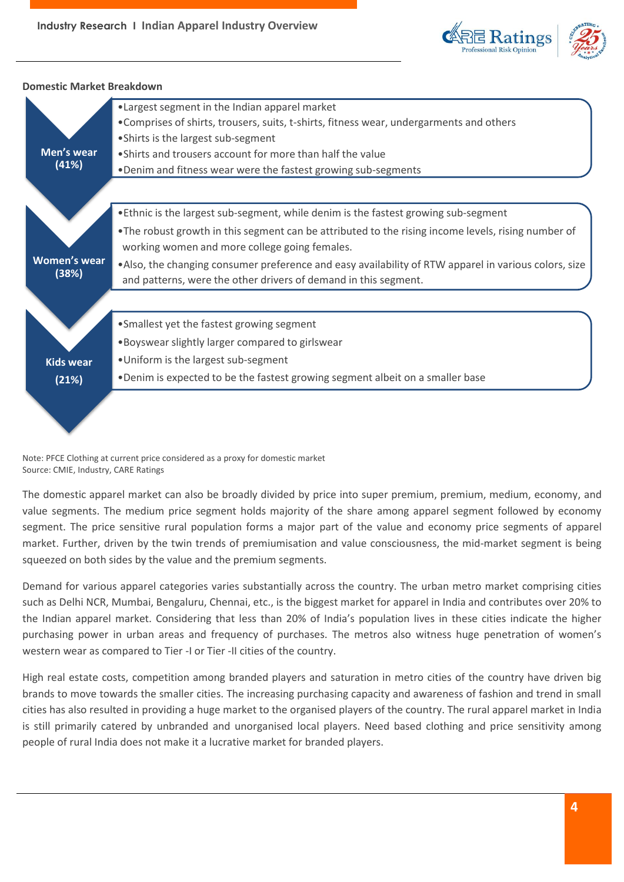



**Domestic Market Breakdown**

Note: PFCE Clothing at current price considered as a proxy for domestic market Source: CMIE, Industry, CARE Ratings

The domestic apparel market can also be broadly divided by price into super premium, premium, medium, economy, and value segments. The medium price segment holds majority of the share among apparel segment followed by economy segment. The price sensitive rural population forms a major part of the value and economy price segments of apparel market. Further, driven by the twin trends of premiumisation and value consciousness, the mid-market segment is being squeezed on both sides by the value and the premium segments.

Demand for various apparel categories varies substantially across the country. The urban metro market comprising cities such as Delhi NCR, Mumbai, Bengaluru, Chennai, etc., is the biggest market for apparel in India and contributes over 20% to the Indian apparel market. Considering that less than 20% of India's population lives in these cities indicate the higher purchasing power in urban areas and frequency of purchases. The metros also witness huge penetration of women's western wear as compared to Tier -I or Tier -II cities of the country.

High real estate costs, competition among branded players and saturation in metro cities of the country have driven big brands to move towards the smaller cities. The increasing purchasing capacity and awareness of fashion and trend in small cities has also resulted in providing a huge market to the organised players of the country. The rural apparel market in India is still primarily catered by unbranded and unorganised local players. Need based clothing and price sensitivity among people of rural India does not make it a lucrative market for branded players.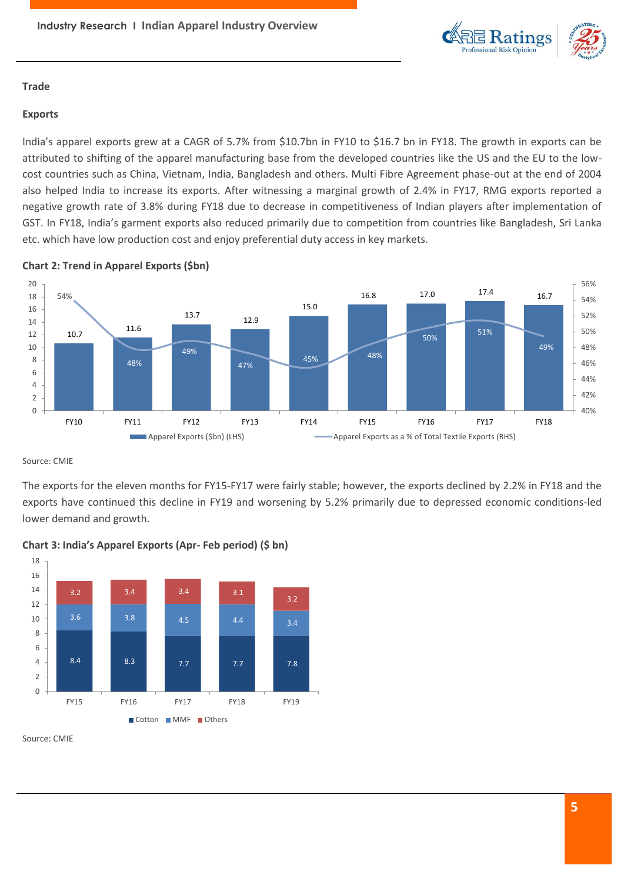

# **Trade**

# **Exports**

India's apparel exports grew at a CAGR of 5.7% from \$10.7bn in FY10 to \$16.7 bn in FY18. The growth in exports can be attributed to shifting of the apparel manufacturing base from the developed countries like the US and the EU to the lowcost countries such as China, Vietnam, India, Bangladesh and others. Multi Fibre Agreement phase-out at the end of 2004 also helped India to increase its exports. After witnessing a marginal growth of 2.4% in FY17, RMG exports reported a negative growth rate of 3.8% during FY18 due to decrease in competitiveness of Indian players after implementation of GST. In FY18, India's garment exports also reduced primarily due to competition from countries like Bangladesh, Sri Lanka etc. which have low production cost and enjoy preferential duty access in key markets.



# **Chart 2: Trend in Apparel Exports (\$bn)**

Source: CMIE

The exports for the eleven months for FY15-FY17 were fairly stable; however, the exports declined by 2.2% in FY18 and the exports have continued this decline in FY19 and worsening by 5.2% primarily due to depressed economic conditions-led lower demand and growth.



# **Chart 3: India's Apparel Exports (Apr- Feb period) (\$ bn)**

Source: CMIE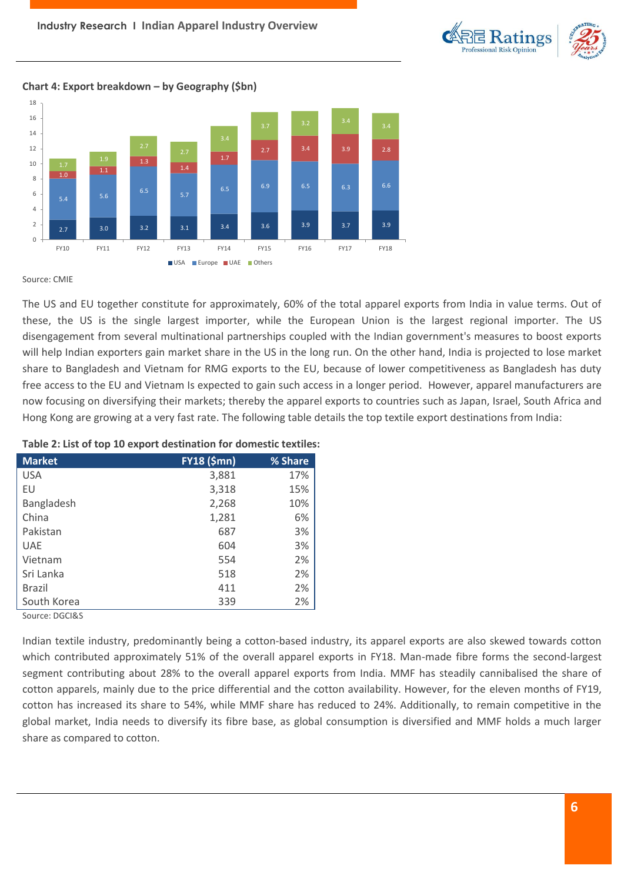

# **Chart 4: Export breakdown – by Geography (\$bn)**



Source: CMIE

The US and EU together constitute for approximately, 60% of the total apparel exports from India in value terms. Out of these, the US is the single largest importer, while the European Union is the largest regional importer. The US disengagement from several multinational partnerships coupled with the Indian government's measures to boost exports will help Indian exporters gain market share in the US in the long run. On the other hand, India is projected to lose market share to Bangladesh and Vietnam for RMG exports to the EU, because of lower competitiveness as Bangladesh has duty free access to the EU and Vietnam Is expected to gain such access in a longer period. However, apparel manufacturers are now focusing on diversifying their markets; thereby the apparel exports to countries such as Japan, Israel, South Africa and Hong Kong are growing at a very fast rate. The following table details the top textile export destinations from India:

# **Market FY18 (\$mn) % Share** USA 3,881 17% EU 3,318 15% Bangladesh 2,268 10% China 6% Pakistan 3% UAE 3% Vietnam 554 2% Sri Lanka 2% Brazil 411 2% South Korea 2%

#### **Table 2: List of top 10 export destination for domestic textiles:**

Source: DGCI&S

Indian textile industry, predominantly being a cotton-based industry, its apparel exports are also skewed towards cotton which contributed approximately 51% of the overall apparel exports in FY18. Man-made fibre forms the second-largest segment contributing about 28% to the overall apparel exports from India. MMF has steadily cannibalised the share of cotton apparels, mainly due to the price differential and the cotton availability. However, for the eleven months of FY19, cotton has increased its share to 54%, while MMF share has reduced to 24%. Additionally, to remain competitive in the global market, India needs to diversify its fibre base, as global consumption is diversified and MMF holds a much larger share as compared to cotton.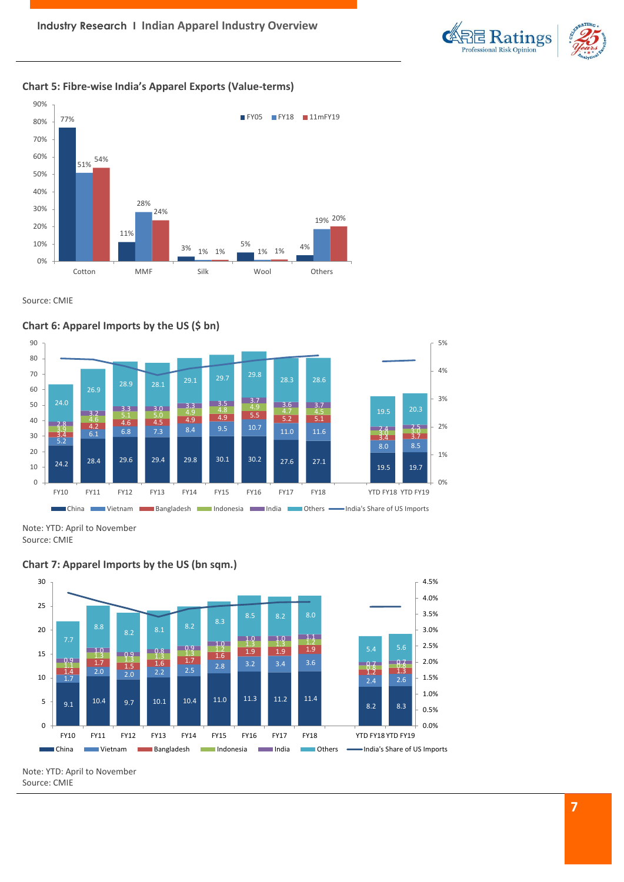

# **Chart 5: Fibre-wise India's Apparel Exports (Value-terms)**



Source: CMIE



**Chart 7: Apparel Imports by the US (bn sqm.)**



Note: YTD: April to November Source: CMIE

Note: YTD: April to November

Source: CMIE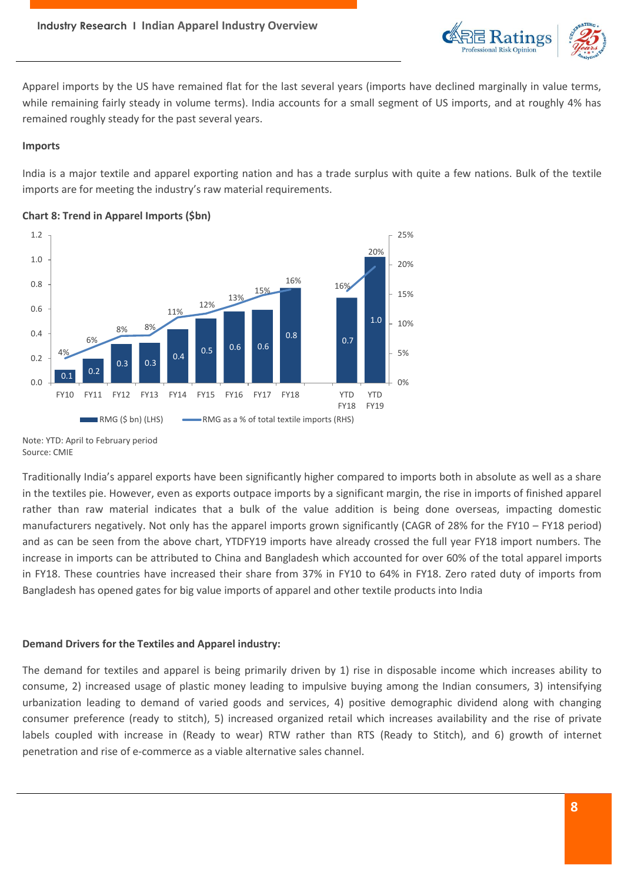

Apparel imports by the US have remained flat for the last several years (imports have declined marginally in value terms, while remaining fairly steady in volume terms). India accounts for a small segment of US imports, and at roughly 4% has remained roughly steady for the past several years.

### **Imports**

India is a major textile and apparel exporting nation and has a trade surplus with quite a few nations. Bulk of the textile imports are for meeting the industry's raw material requirements.



# **Chart 8: Trend in Apparel Imports (\$bn)**

Note: YTD: April to February period Source: CMIE

Traditionally India's apparel exports have been significantly higher compared to imports both in absolute as well as a share in the textiles pie. However, even as exports outpace imports by a significant margin, the rise in imports of finished apparel rather than raw material indicates that a bulk of the value addition is being done overseas, impacting domestic manufacturers negatively. Not only has the apparel imports grown significantly (CAGR of 28% for the FY10 – FY18 period) and as can be seen from the above chart, YTDFY19 imports have already crossed the full year FY18 import numbers. The increase in imports can be attributed to China and Bangladesh which accounted for over 60% of the total apparel imports in FY18. These countries have increased their share from 37% in FY10 to 64% in FY18. Zero rated duty of imports from Bangladesh has opened gates for big value imports of apparel and other textile products into India

# **Demand Drivers for the Textiles and Apparel industry:**

The demand for textiles and apparel is being primarily driven by 1) rise in disposable income which increases ability to consume, 2) increased usage of plastic money leading to impulsive buying among the Indian consumers, 3) intensifying urbanization leading to demand of varied goods and services, 4) positive demographic dividend along with changing consumer preference (ready to stitch), 5) increased organized retail which increases availability and the rise of private labels coupled with increase in (Ready to wear) RTW rather than RTS (Ready to Stitch), and 6) growth of internet penetration and rise of e-commerce as a viable alternative sales channel.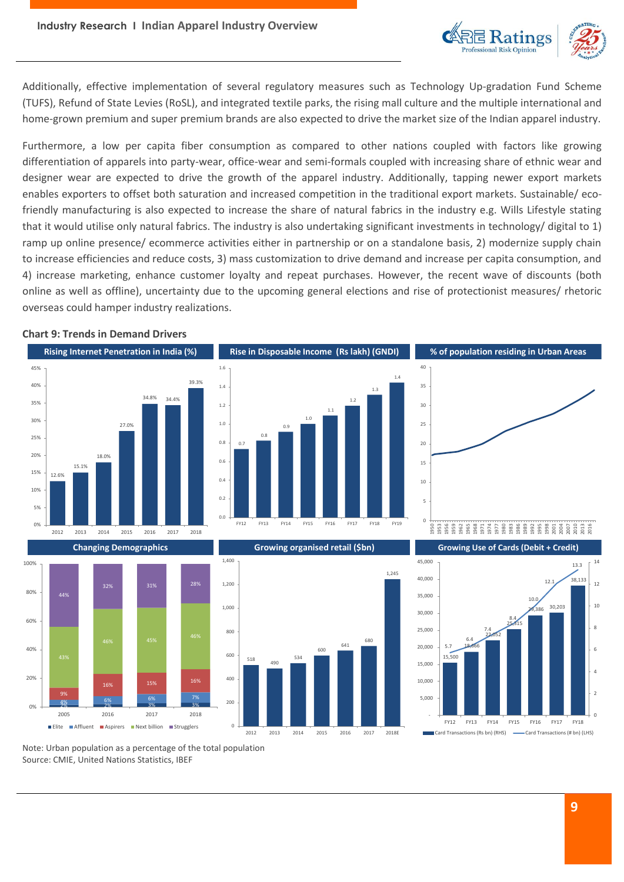

Additionally, effective implementation of several regulatory measures such as Technology Up-gradation Fund Scheme (TUFS), Refund of State Levies (RoSL), and integrated textile parks, the rising mall culture and the multiple international and home-grown premium and super premium brands are also expected to drive the market size of the Indian apparel industry.

Furthermore, a low per capita fiber consumption as compared to other nations coupled with factors like growing differentiation of apparels into party-wear, office-wear and semi-formals coupled with increasing share of ethnic wear and designer wear are expected to drive the growth of the apparel industry. Additionally, tapping newer export markets enables exporters to offset both saturation and increased competition in the traditional export markets. Sustainable/ ecofriendly manufacturing is also expected to increase the share of natural fabrics in the industry e.g. Wills Lifestyle stating that it would utilise only natural fabrics. The industry is also undertaking significant investments in technology/ digital to 1) ramp up online presence/ ecommerce activities either in partnership or on a standalone basis, 2) modernize supply chain to increase efficiencies and reduce costs, 3) mass customization to drive demand and increase per capita consumption, and 4) increase marketing, enhance customer loyalty and repeat purchases. However, the recent wave of discounts (both online as well as offline), uncertainty due to the upcoming general elections and rise of protectionist measures/ rhetoric overseas could hamper industry realizations.

#### **Chart 9: Trends in Demand Drivers**







534

600

641

680

1,245





Note: Urban population as a percentage of the total population Source: CMIE, United Nations Statistics, IBEF

 $0%$ 

 $20%$ 

 $40%$ 

60%

80%

100%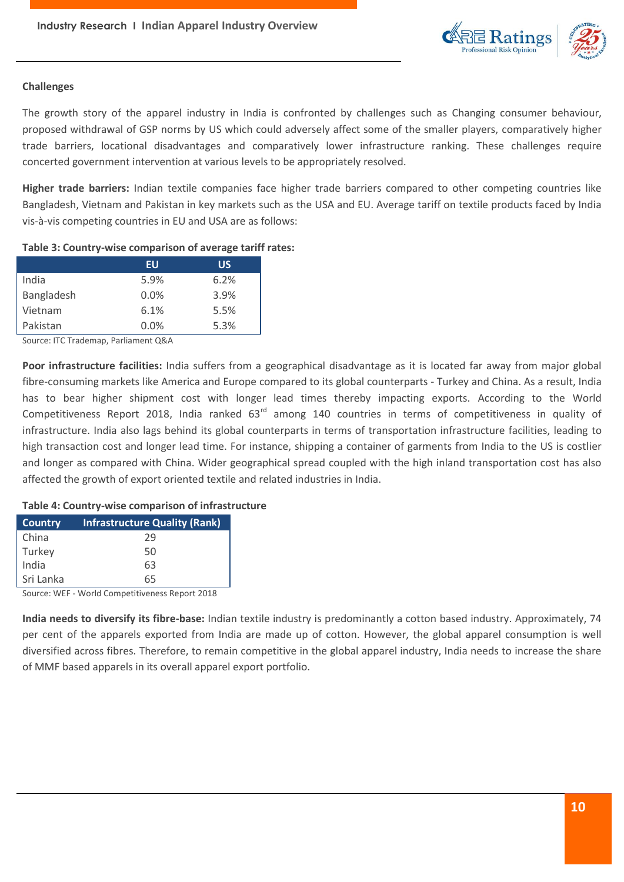

# **Challenges**

The growth story of the apparel industry in India is confronted by challenges such as Changing consumer behaviour, proposed withdrawal of GSP norms by US which could adversely affect some of the smaller players, comparatively higher trade barriers, locational disadvantages and comparatively lower infrastructure ranking. These challenges require concerted government intervention at various levels to be appropriately resolved.

**Higher trade barriers:** Indian textile companies face higher trade barriers compared to other competing countries like Bangladesh, Vietnam and Pakistan in key markets such as the USA and EU. Average tariff on textile products faced by India vis-à-vis competing countries in EU and USA are as follows:

# **Table 3: Country-wise comparison of average tariff rates:**

|            | EU   | ้นร  |
|------------|------|------|
| India      | 5.9% | 6.2% |
| Bangladesh | 0.0% | 3.9% |
| Vietnam    | 6.1% | 5.5% |
| Pakistan   | 0.0% | 5.3% |

Source: ITC Trademap, Parliament Q&A

**Poor infrastructure facilities:** India suffers from a geographical disadvantage as it is located far away from major global fibre-consuming markets like America and Europe compared to its global counterparts - Turkey and China. As a result, India has to bear higher shipment cost with longer lead times thereby impacting exports. According to the World Competitiveness Report 2018, India ranked 63<sup>rd</sup> among 140 countries in terms of competitiveness in quality of infrastructure. India also lags behind its global counterparts in terms of transportation infrastructure facilities, leading to high transaction cost and longer lead time. For instance, shipping a container of garments from India to the US is costlier and longer as compared with China. Wider geographical spread coupled with the high inland transportation cost has also affected the growth of export oriented textile and related industries in India.

# **Table 4: Country-wise comparison of infrastructure**

| <b>Country</b> | <b>Infrastructure Quality (Rank)</b> |  |
|----------------|--------------------------------------|--|
| China          | 29                                   |  |
| Turkey         | 50                                   |  |
| India          | 63                                   |  |
| Sri Lanka      | 65                                   |  |
|                |                                      |  |

Source: WEF - World Competitiveness Report 2018

**India needs to diversify its fibre-base:** Indian textile industry is predominantly a cotton based industry. Approximately, 74 per cent of the apparels exported from India are made up of cotton. However, the global apparel consumption is well diversified across fibres. Therefore, to remain competitive in the global apparel industry, India needs to increase the share of MMF based apparels in its overall apparel export portfolio.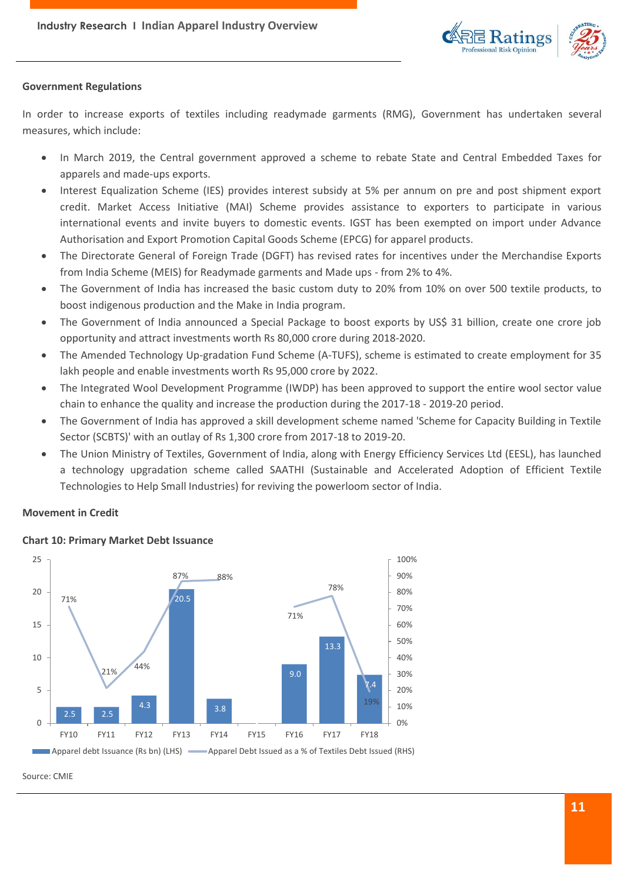

# **Government Regulations**

In order to increase exports of textiles including readymade garments (RMG), Government has undertaken several measures, which include:

- In March 2019, the Central government approved a scheme to rebate State and Central Embedded Taxes for apparels and made-ups exports.
- Interest Equalization Scheme (IES) provides interest subsidy at 5% per annum on pre and post shipment export credit. Market Access Initiative (MAI) Scheme provides assistance to exporters to participate in various international events and invite buyers to domestic events. IGST has been exempted on import under Advance Authorisation and Export Promotion Capital Goods Scheme (EPCG) for apparel products.
- The Directorate General of Foreign Trade (DGFT) has revised rates for incentives under the Merchandise Exports from India Scheme (MEIS) for Readymade garments and Made ups - from 2% to 4%.
- The Government of India has increased the basic custom duty to 20% from 10% on over 500 textile products, to boost indigenous production and the Make in India program.
- The Government of India announced a Special Package to boost exports by US\$ 31 billion, create one crore job opportunity and attract investments worth Rs 80,000 crore during 2018-2020.
- The Amended Technology Up-gradation Fund Scheme (A-TUFS), scheme is estimated to create employment for 35 lakh people and enable investments worth Rs 95,000 crore by 2022.
- The Integrated Wool Development Programme (IWDP) has been approved to support the entire wool sector value chain to enhance the quality and increase the production during the 2017-18 - 2019-20 period.
- The Government of India has approved a skill development scheme named 'Scheme for Capacity Building in Textile Sector (SCBTS)' with an outlay of Rs 1,300 crore from 2017-18 to 2019-20.
- The Union Ministry of Textiles, Government of India, along with Energy Efficiency Services Ltd (EESL), has launched a technology upgradation scheme called SAATHI (Sustainable and Accelerated Adoption of Efficient Textile Technologies to Help Small Industries) for reviving the powerloom sector of India.

# **Movement in Credit**



# **Chart 10: Primary Market Debt Issuance**

Source: CMIE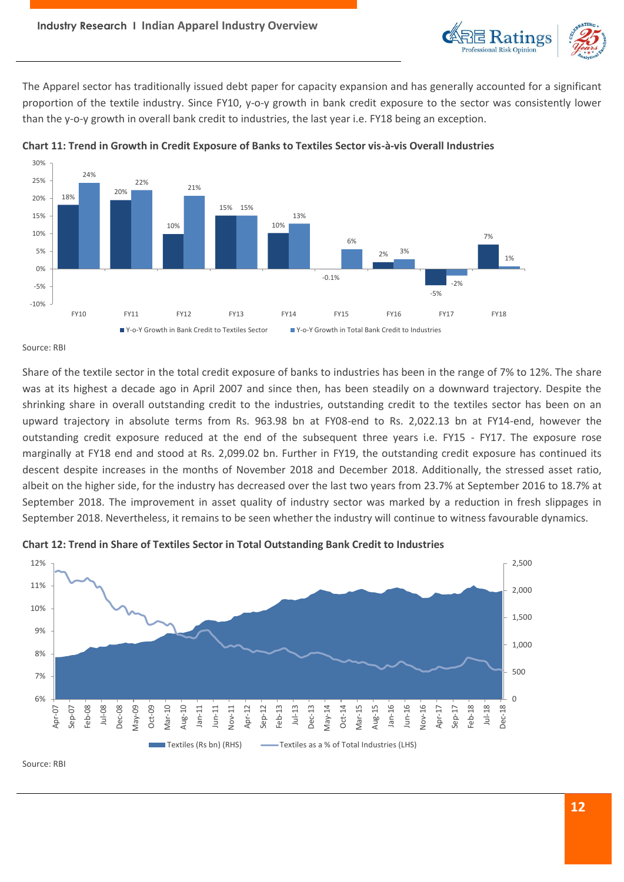

The Apparel sector has traditionally issued debt paper for capacity expansion and has generally accounted for a significant proportion of the textile industry. Since FY10, y-o-y growth in bank credit exposure to the sector was consistently lower than the y-o-y growth in overall bank credit to industries, the last year i.e. FY18 being an exception.





Source: RBI

Share of the textile sector in the total credit exposure of banks to industries has been in the range of 7% to 12%. The share was at its highest a decade ago in April 2007 and since then, has been steadily on a downward trajectory. Despite the shrinking share in overall outstanding credit to the industries, outstanding credit to the textiles sector has been on an upward trajectory in absolute terms from Rs. 963.98 bn at FY08-end to Rs. 2,022.13 bn at FY14-end, however the outstanding credit exposure reduced at the end of the subsequent three years i.e. FY15 - FY17. The exposure rose marginally at FY18 end and stood at Rs. 2,099.02 bn. Further in FY19, the outstanding credit exposure has continued its descent despite increases in the months of November 2018 and December 2018. Additionally, the stressed asset ratio, albeit on the higher side, for the industry has decreased over the last two years from 23.7% at September 2016 to 18.7% at September 2018. The improvement in asset quality of industry sector was marked by a reduction in fresh slippages in September 2018. Nevertheless, it remains to be seen whether the industry will continue to witness favourable dynamics.





Source: RBI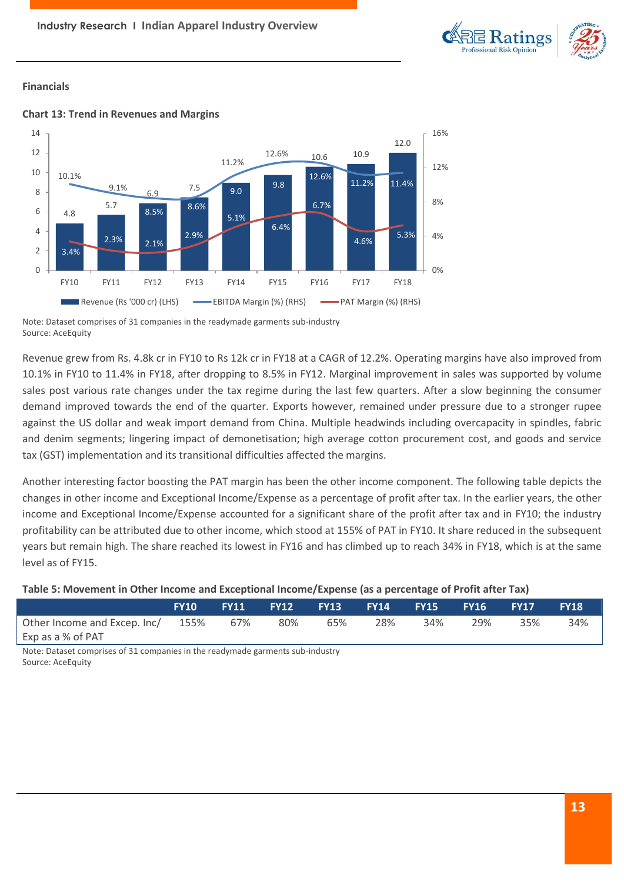

# **Financials**



# **Chart 13: Trend in Revenues and Margins**

Revenue grew from Rs. 4.8k cr in FY10 to Rs 12k cr in FY18 at a CAGR of 12.2%. Operating margins have also improved from 10.1% in FY10 to 11.4% in FY18, after dropping to 8.5% in FY12. Marginal improvement in sales was supported by volume sales post various rate changes under the tax regime during the last few quarters. After a slow beginning the consumer demand improved towards the end of the quarter. Exports however, remained under pressure due to a stronger rupee against the US dollar and weak import demand from China. Multiple headwinds including overcapacity in spindles, fabric and denim segments; lingering impact of demonetisation; high average cotton procurement cost, and goods and service tax (GST) implementation and its transitional difficulties affected the margins.

Another interesting factor boosting the PAT margin has been the other income component. The following table depicts the changes in other income and Exceptional Income/Expense as a percentage of profit after tax. In the earlier years, the other income and Exceptional Income/Expense accounted for a significant share of the profit after tax and in FY10; the industry profitability can be attributed due to other income, which stood at 155% of PAT in FY10. It share reduced in the subsequent years but remain high. The share reached its lowest in FY16 and has climbed up to reach 34% in FY18, which is at the same level as of FY15.

# **Table 5: Movement in Other Income and Exceptional Income/Expense (as a percentage of Profit after Tax)**

|                                       | <b>FY10</b> | <b>FY11</b> |     |     | ' FY12       FY13       FY14     FY15       FY16 |     |     | <b>FY17</b> | <b>FY18</b> |
|---------------------------------------|-------------|-------------|-----|-----|--------------------------------------------------|-----|-----|-------------|-------------|
| Other Income and Excep. Inc/ 155% 67% |             |             | 80% | 65% | 28%                                              | 34% | 29% | 35%         | 34%         |
| Exp as a % of PAT                     |             |             |     |     |                                                  |     |     |             |             |

Note: Dataset comprises of 31 companies in the readymade garments sub-industry Source: AceEquity

Note: Dataset comprises of 31 companies in the readymade garments sub-industry Source: AceEquity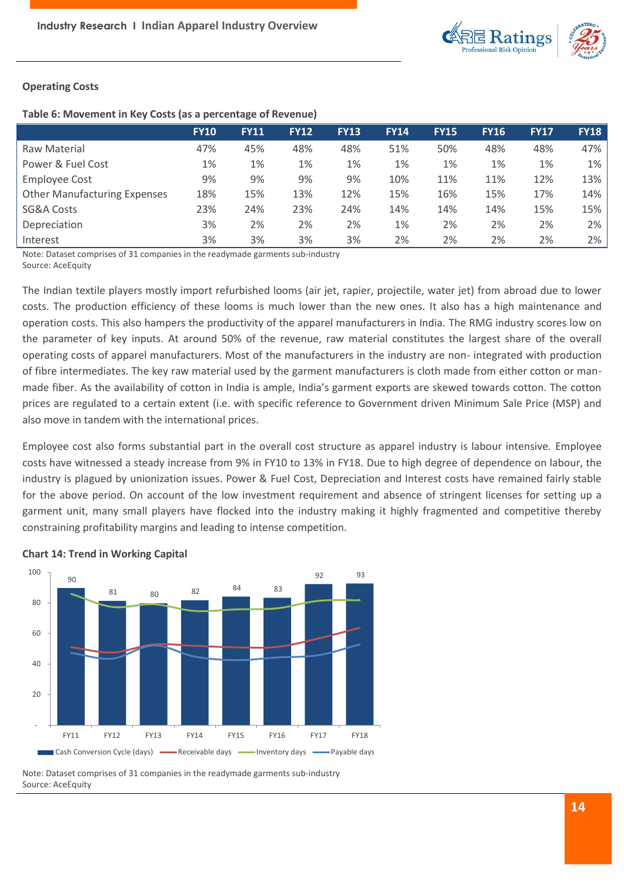

# **Operating Costs**

### **Table 6: Movement in Key Costs (as a percentage of Revenue)**

|                                     | <b>FY10</b> | <b>FY11</b> | <b>FY12</b> | <b>FY13</b> | <b>FY14</b> | <b>FY15</b> | <b>FY16</b> | <b>FY17</b> | <b>FY18</b> |
|-------------------------------------|-------------|-------------|-------------|-------------|-------------|-------------|-------------|-------------|-------------|
| Raw Material                        | 47%         | 45%         | 48%         | 48%         | 51%         | 50%         | 48%         | 48%         | 47%         |
| Power & Fuel Cost                   | 1%          | 1%          | 1%          | 1%          | 1%          | 1%          | 1%          | 1%          | 1%          |
| <b>Employee Cost</b>                | 9%          | 9%          | 9%          | 9%          | 10%         | 11%         | 11%         | 12%         | 13%         |
| <b>Other Manufacturing Expenses</b> | 18%         | 15%         | 13%         | 12%         | 15%         | 16%         | 15%         | 17%         | 14%         |
| <b>SG&amp;A Costs</b>               | 23%         | 24%         | 23%         | 24%         | 14%         | 14%         | 14%         | 15%         | 15%         |
| Depreciation                        | 3%          | 2%          | 2%          | 2%          | 1%          | 2%          | 2%          | 2%          | 2%          |
| Interest                            | 3%          | 3%          | 3%          | 3%          | 2%          | 2%          | 2%          | 2%          | 2%          |

Note: Dataset comprises of 31 companies in the readymade garments sub-industry Source: AceEquity

The Indian textile players mostly import refurbished looms (air jet, rapier, projectile, water jet) from abroad due to lower costs. The production efficiency of these looms is much lower than the new ones. It also has a high maintenance and operation costs. This also hampers the productivity of the apparel manufacturers in India. The RMG industry scores low on the parameter of key inputs. At around 50% of the revenue, raw material constitutes the largest share of the overall operating costs of apparel manufacturers. Most of the manufacturers in the industry are non- integrated with production of fibre intermediates. The key raw material used by the garment manufacturers is cloth made from either cotton or manmade fiber. As the availability of cotton in India is ample, India's garment exports are skewed towards cotton. The cotton prices are regulated to a certain extent (i.e. with specific reference to Government driven Minimum Sale Price (MSP) and also move in tandem with the international prices.

Employee cost also forms substantial part in the overall cost structure as apparel industry is labour intensive. Employee costs have witnessed a steady increase from 9% in FY10 to 13% in FY18. Due to high degree of dependence on labour, the industry is plagued by unionization issues. Power & Fuel Cost, Depreciation and Interest costs have remained fairly stable for the above period. On account of the low investment requirement and absence of stringent licenses for setting up a garment unit, many small players have flocked into the industry making it highly fragmented and competitive thereby constraining profitability margins and leading to intense competition.



# **Chart 14: Trend in Working Capital**

Note: Dataset comprises of 31 companies in the readymade garments sub-industry Source: AceEquity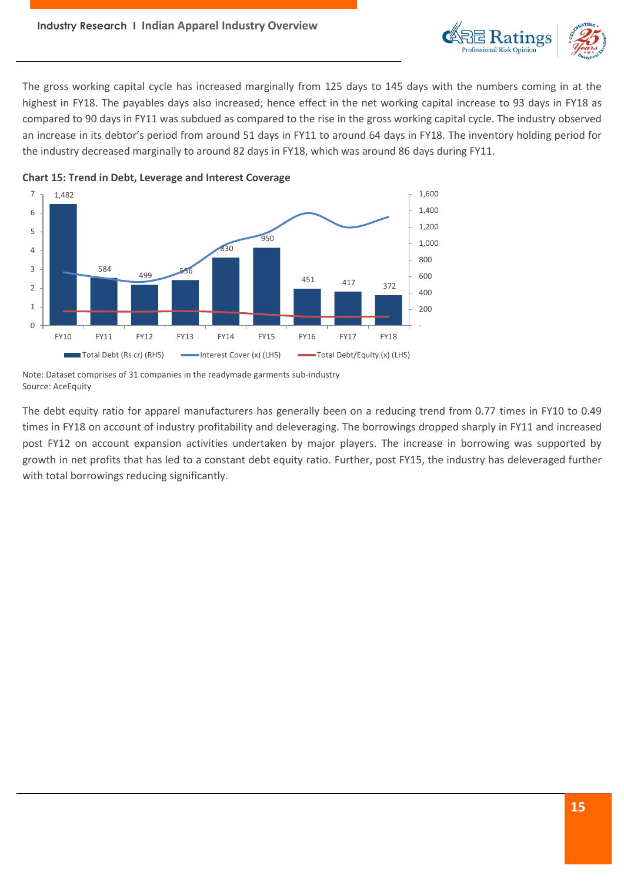

The gross working capital cycle has increased marginally from 125 days to 145 days with the numbers coming in at the highest in FY18. The payables days also increased; hence effect in the net working capital increase to 93 days in FY18 as compared to 90 days in FY11 was subdued as compared to the rise in the gross working capital cycle. The industry observed an increase in its debtor's period from around 51 days in FY11 to around 64 days in FY18. The inventory holding period for the industry decreased marginally to around 82 days in FY18, which was around 86 days during FY11.



**Chart 15: Trend in Debt, Leverage and Interest Coverage**

Note: Dataset comprises of 31 companies in the readymade garments sub-industry Source: AceEquity

The debt equity ratio for apparel manufacturers has generally been on a reducing trend from 0.77 times in FY10 to 0.49 times in FY18 on account of industry profitability and deleveraging. The borrowings dropped sharply in FY11 and increased post FY12 on account expansion activities undertaken by major players. The increase in borrowing was supported by growth in net profits that has led to a constant debt equity ratio. Further, post FY15, the industry has deleveraged further with total borrowings reducing significantly.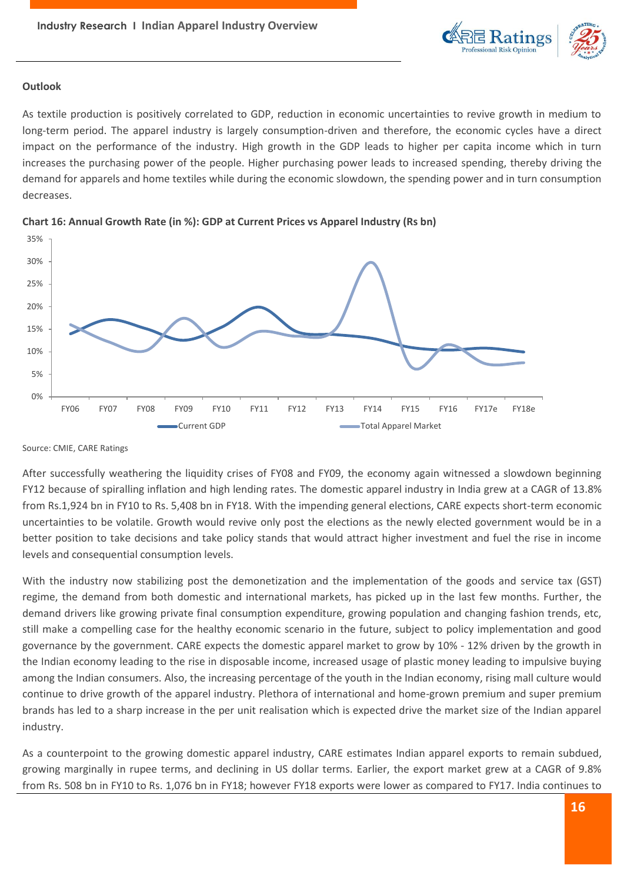

# **Outlook**

As textile production is positively correlated to GDP, reduction in economic uncertainties to revive growth in medium to long-term period. The apparel industry is largely consumption-driven and therefore, the economic cycles have a direct impact on the performance of the industry. High growth in the GDP leads to higher per capita income which in turn increases the purchasing power of the people. Higher purchasing power leads to increased spending, thereby driving the demand for apparels and home textiles while during the economic slowdown, the spending power and in turn consumption decreases.





After successfully weathering the liquidity crises of FY08 and FY09, the economy again witnessed a slowdown beginning FY12 because of spiralling inflation and high lending rates. The domestic apparel industry in India grew at a CAGR of 13.8% from Rs.1,924 bn in FY10 to Rs. 5,408 bn in FY18. With the impending general elections, CARE expects short-term economic uncertainties to be volatile. Growth would revive only post the elections as the newly elected government would be in a better position to take decisions and take policy stands that would attract higher investment and fuel the rise in income levels and consequential consumption levels.

With the industry now stabilizing post the demonetization and the implementation of the goods and service tax (GST) regime, the demand from both domestic and international markets, has picked up in the last few months. Further, the demand drivers like growing private final consumption expenditure, growing population and changing fashion trends, etc, still make a compelling case for the healthy economic scenario in the future, subject to policy implementation and good governance by the government. CARE expects the domestic apparel market to grow by 10% - 12% driven by the growth in the Indian economy leading to the rise in disposable income, increased usage of plastic money leading to impulsive buying among the Indian consumers. Also, the increasing percentage of the youth in the Indian economy, rising mall culture would continue to drive growth of the apparel industry. Plethora of international and home-grown premium and super premium brands has led to a sharp increase in the per unit realisation which is expected drive the market size of the Indian apparel industry.

As a counterpoint to the growing domestic apparel industry, CARE estimates Indian apparel exports to remain subdued, growing marginally in rupee terms, and declining in US dollar terms. Earlier, the export market grew at a CAGR of 9.8% from Rs. 508 bn in FY10 to Rs. 1,076 bn in FY18; however FY18 exports were lower as compared to FY17. India continues to

Source: CMIE, CARE Ratings